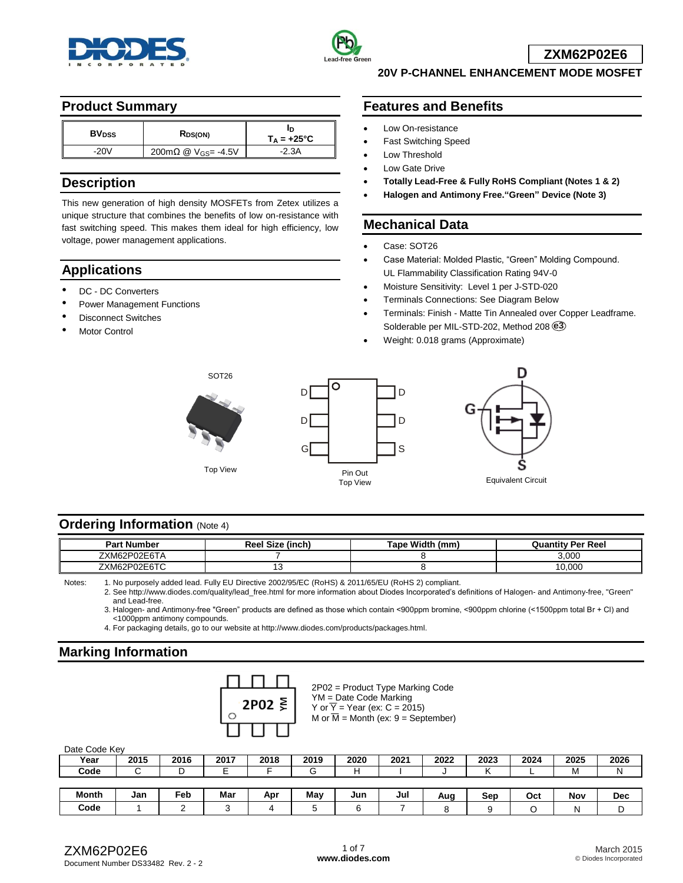



### **20V P-CHANNEL ENHANCEMENT MODE MOSFET**

#### **Product Summary**

| <b>BV<sub>DSS</sub></b> | R <sub>DS(ON)</sub>               | $T_A = +25^{\circ}C$ |
|-------------------------|-----------------------------------|----------------------|
| -201                    | 200mΩ @ $V$ <sub>GS</sub> = -4.5V | -2.3A                |

### **Description**

This new generation of high density MOSFETs from Zetex utilizes a unique structure that combines the benefits of low on-resistance with fast switching speed. This makes them ideal for high efficiency, low voltage, power management applications.

# **Applications**

- DC DC Converters
- Power Management Functions
- **Disconnect Switches**
- Motor Control

# **Features and Benefits**

- Low On-resistance
- Fast Switching Speed
- Low Threshold
- Low Gate Drive
- **Totally Lead-Free & Fully RoHS Compliant (Notes 1 & 2)**
- **Halogen and Antimony Free."Green" Device (Note 3)**

## **Mechanical Data**

- Case: SOT26
- Case Material: Molded Plastic, "Green" Molding Compound. UL Flammability Classification Rating 94V-0
- Moisture Sensitivity: Level 1 per J-STD-020
- Terminals Connections: See Diagram Below
- Terminals: Finish Matte Tin Annealed over Copper Leadframe. Solderable per MIL-STD-202, Method 208 **e3**
- Weight: 0.018 grams (Approximate)







Equivalent Circuit

# **Ordering Information (Note 4)**

| Pan<br>Number                                       | ∩מ<br>(inch<br>$\cdots$ | Fane Width<br>$\sim$ | ′ Per Reel<br>$-1002$              |
|-----------------------------------------------------|-------------------------|----------------------|------------------------------------|
| $\sim$ $\sim$ $\sim$ $\sim$<br>7XM62.<br>, <u>.</u> |                         |                      | 3.000                              |
| XMF'<br>וכוכ<br>.,∟                                 | ັ                       |                      | 10,000<br>$\overline{\phantom{a}}$ |

Notes: 1. No purposely added lead. Fully EU Directive 2002/95/EC (RoHS) & 2011/65/EU (RoHS 2) compliant.

2. See [http://www.diodes.com/quality/lead\\_free.html](http://www.diodes.com/quality/lead_free.html) for more information about Diodes Incorporated's definitions of Halogen- and Antimony-free, "Green" and Lead-free.

3. Halogen- and Antimony-free "Green" products are defined as those which contain <900ppm bromine, <900ppm chlorine (<1500ppm total Br + Cl) and <1000ppm antimony compounds.

4. For packaging details, go to our website at [http://www.diodes.com/products/packages.html.](http://www.diodes.com/products/packages.html)

# **Marking Information**

| 2P02 $\bar{≥}$ |  |
|----------------|--|
|                |  |
|                |  |

2P02 = Product Type Marking Code YM = Date Code Marking Y or  $\overline{Y}$  = Year (ex: C = 2015) M or  $\overline{M}$  = Month (ex: 9 = September)

| Date Code Kev |  |
|---------------|--|
|               |  |

| Year         | 2015 | 2016            | 2017 | 2018 | 2019 | 2020 | 2021 | 2022 | 2023 | 2024 | 2025 | 2026       |
|--------------|------|-----------------|------|------|------|------|------|------|------|------|------|------------|
| Code         |      | ັ               |      |      | ⌒    |      |      |      |      |      | M    | N          |
|              |      |                 |      |      |      |      |      |      |      |      |      |            |
|              |      |                 |      |      |      |      |      |      |      |      |      |            |
| <b>Month</b> | Jan  | Fe <sub>b</sub> | Mar  | Apr  | May  | Jun  | Jul  | Aug  | Sep  | Oct  | Nov  | <b>Dec</b> |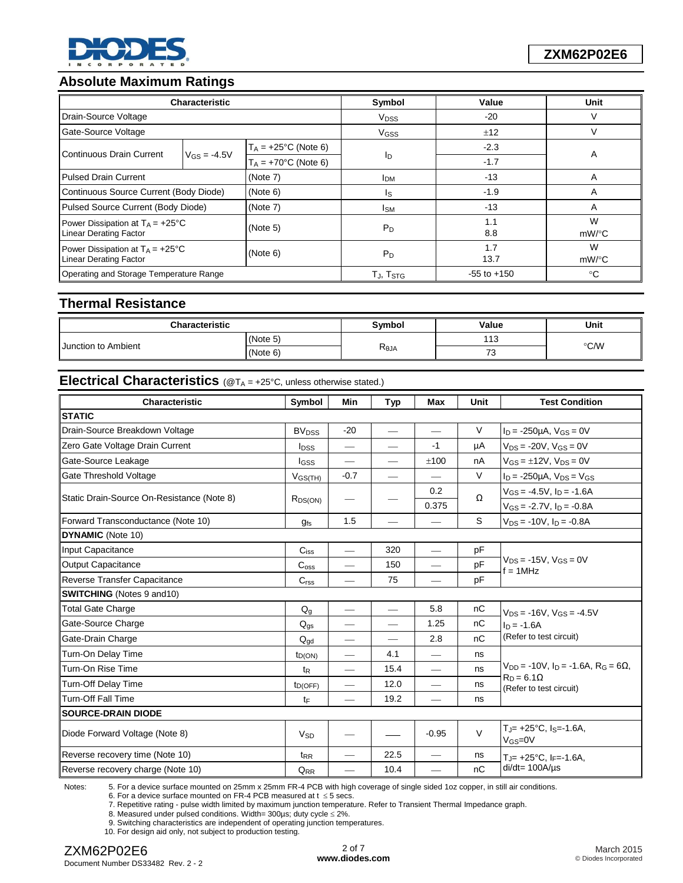

# **Absolute Maximum Ratings**

|                                                                            | <b>Characteristic</b> |                         | Symbol                  | Value           | Unit          |  |
|----------------------------------------------------------------------------|-----------------------|-------------------------|-------------------------|-----------------|---------------|--|
| Drain-Source Voltage                                                       |                       |                         | <b>V</b> <sub>DSS</sub> | $-20$           | V             |  |
| Gate-Source Voltage                                                        |                       |                         | <b>V<sub>GSS</sub></b>  | ±12             | ν             |  |
| Continuous Drain Current                                                   |                       | $T_A = +25$ °C (Note 6) |                         | $-2.3$          |               |  |
|                                                                            | $V_{GS} = -4.5V$      | $T_A = +70$ °C (Note 6) | ΙD                      | $-1.7$          | A             |  |
| <b>Pulsed Drain Current</b>                                                |                       | (Note 7)                | <b>I</b> DM             | $-13$           | A             |  |
| Continuous Source Current (Body Diode)                                     |                       | (Note 6)                | ls                      | $-1.9$          | A             |  |
| Pulsed Source Current (Body Diode)                                         |                       | (Note 7)                | <b>I</b> <sub>SM</sub>  | $-13$           | A             |  |
| Power Dissipation at $T_A = +25^{\circ}C$<br><b>Linear Derating Factor</b> |                       | (Note 5)                | $P_D$                   | 1.1<br>8.8      | W<br>mW/°C    |  |
| Power Dissipation at $T_A = +25^{\circ}C$<br><b>Linear Derating Factor</b> |                       | (Note 6)                | $P_D$                   | 1.7<br>13.7     | W<br>$mW$ /°C |  |
| Operating and Storage Temperature Range                                    |                       |                         | TJ, T <sub>STG</sub>    | $-55$ to $+150$ | °C            |  |

## **Thermal Resistance**

| <b>Characteristic</b>      | <b>Symbol</b> | Value | Unit              |               |  |
|----------------------------|---------------|-------|-------------------|---------------|--|
| <b>Junction to Ambient</b> | (Note 5)      |       | $11^\circ$<br>ں ا |               |  |
|                            | (Note 6)      | Reja  | ں ،               | $\degree$ C/W |  |

# **Electrical Characteristics** (@T<sub>A</sub> = +25°C, unless otherwise stated.)

| Characteristic                             | Symbol                  | Min                             | <b>Typ</b>                    | Max                      | Unit   | <b>Test Condition</b>                                                     |
|--------------------------------------------|-------------------------|---------------------------------|-------------------------------|--------------------------|--------|---------------------------------------------------------------------------|
| <b>STATIC</b>                              |                         |                                 |                               |                          |        |                                                                           |
| Drain-Source Breakdown Voltage             | <b>BV<sub>DSS</sub></b> | $-20$                           | $\qquad \qquad$               |                          | $\vee$ | $I_D = -250 \mu A$ , $V_{GS} = 0V$                                        |
| Zero Gate Voltage Drain Current            | <b>l</b> <sub>DSS</sub> | $\overline{\phantom{0}}$        |                               | $-1$                     | μA     | $V_{DS} = -20V$ , $V_{GS} = 0V$                                           |
| Gate-Source Leakage                        | <b>I</b> GSS            | $\overline{\phantom{0}}$        |                               | ±100                     | nA     | $V_{GS} = \pm 12V$ , $V_{DS} = 0V$                                        |
| Gate Threshold Voltage                     | $V_{GS(TH)}$            | $-0.7$                          | $\overbrace{\phantom{aaaaa}}$ |                          | $\vee$ | $I_D$ = -250µA, $V_{DS}$ = $V_{GS}$                                       |
|                                            |                         |                                 |                               | 0.2                      | Ω      | $V_{GS} = -4.5V$ , $I_D = -1.6A$                                          |
| Static Drain-Source On-Resistance (Note 8) | R <sub>DS(ON)</sub>     |                                 |                               | 0.375                    |        | $V_{GS} = -2.7V$ , $I_D = -0.8A$                                          |
| Forward Transconductance (Note 10)         | <b>gfs</b>              | 1.5                             |                               |                          | S      | $V_{DS} = -10V$ , $I_D = -0.8A$                                           |
| <b>DYNAMIC</b> (Note 10)                   |                         |                                 |                               |                          |        |                                                                           |
| Input Capacitance                          | C <sub>iss</sub>        | $\overline{\phantom{0}}$        | 320                           |                          | pF     |                                                                           |
| <b>Output Capacitance</b>                  | C <sub>oss</sub>        |                                 | 150                           |                          | pF     | $V_{DS} = -15V$ , $V_{GS} = 0V$<br>$f = 1$ MHz                            |
| Reverse Transfer Capacitance               | C <sub>rss</sub>        |                                 | 75                            |                          | pF     |                                                                           |
| <b>SWITCHING</b> (Notes 9 and 10)          |                         |                                 |                               |                          |        |                                                                           |
| <b>Total Gate Charge</b>                   | $Q_q$                   | $\overline{\phantom{0}}$        |                               | 5.8                      | nC     | $V_{DS} = -16V$ , $V_{GS} = -4.5V$                                        |
| Gate-Source Charge                         | $Q_{gs}$                |                                 |                               | 1.25                     | nC     | $I_D = -1.6A$                                                             |
| Gate-Drain Charge                          | $Q_{gd}$                | $\overline{\phantom{0}}$        |                               | 2.8                      | nC     | (Refer to test circuit)                                                   |
| Turn-On Delay Time                         | $t_{D(ON)}$             | $\qquad \qquad$                 | 4.1                           |                          | ns     |                                                                           |
| Turn-On Rise Time                          | $t_{R}$                 | $\overline{\phantom{0}}$        | 15.4                          |                          | ns     | $V_{DD}$ = -10V, $I_D$ = -1.6A, R <sub>G</sub> = 6 $\Omega$ ,             |
| Turn-Off Delay Time                        | $t_{D(OFF)}$            | $\overbrace{\qquad \qquad }^{}$ | 12.0                          |                          | ns     | $R_D = 6.1 \Omega$<br>(Refer to test circuit)                             |
| Turn-Off Fall Time                         | tF                      |                                 | 19.2                          |                          | ns     |                                                                           |
| <b>SOURCE-DRAIN DIODE</b>                  |                         |                                 |                               |                          |        |                                                                           |
| Diode Forward Voltage (Note 8)             | <b>V<sub>SD</sub></b>   |                                 |                               | $-0.95$                  | $\vee$ | $T_{\rm J}$ = +25°C, I <sub>S</sub> = -1.6A,<br>$V$ <sub>GS</sub> = $0$ V |
| Reverse recovery time (Note 10)            | $t_{RR}$                |                                 | 22.5                          | $\overline{\phantom{0}}$ | ns     | $T_{\text{J}}$ = +25°C, I <sub>F</sub> = -1.6A,                           |
| Reverse recovery charge (Note 10)          | $Q_{RR}$                |                                 | 10.4                          |                          | nC     | $di/dt = 100A/\mu s$                                                      |

Notes: 5. For a device surface mounted on 25mm x 25mm FR-4 PCB with high coverage of single sided 1oz copper, in still air conditions.

6. For a device surface mounted on FR-4 PCB measured at  $t \le 5$  secs.

7. Repetitive rating - pulse width limited by maximum junction temperature. Refer to Transient Thermal Impedance graph. 8. Measured under pulsed conditions. Width= 300µs; duty cycle 2%.

9. Switching characteristics are independent of operating junction temperatures.

10. For design aid only, not subject to production testing.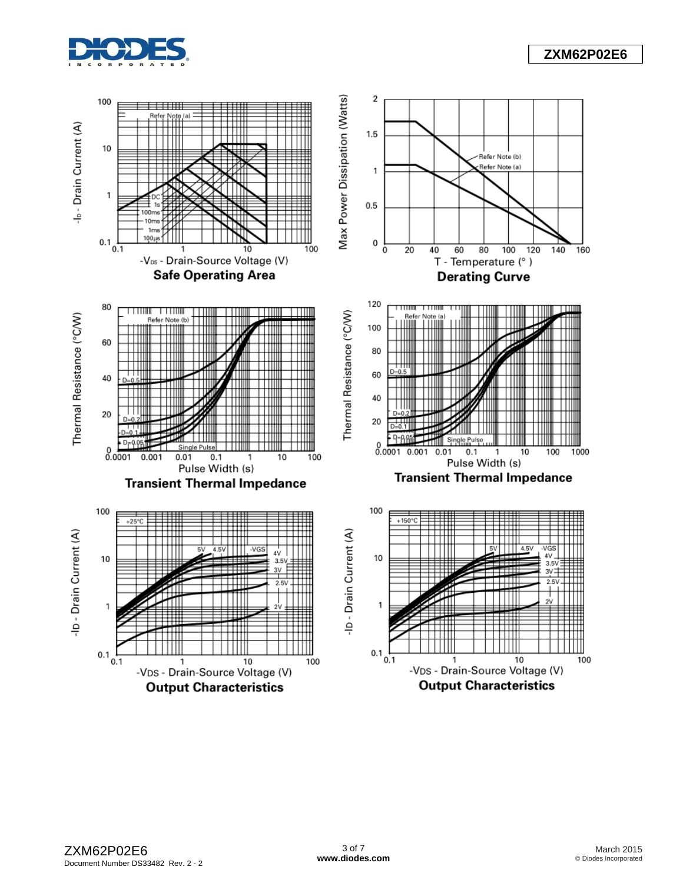

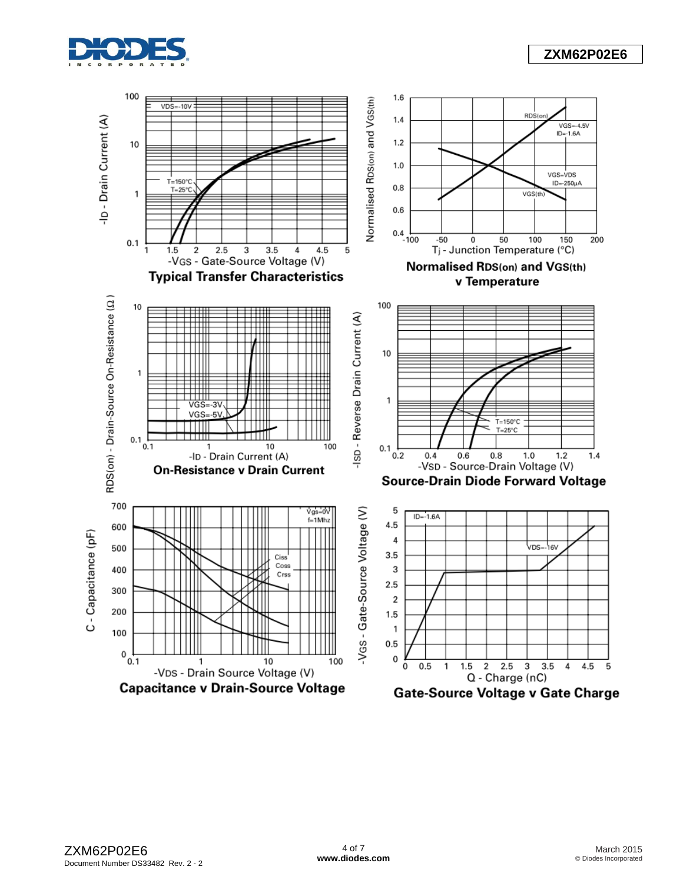

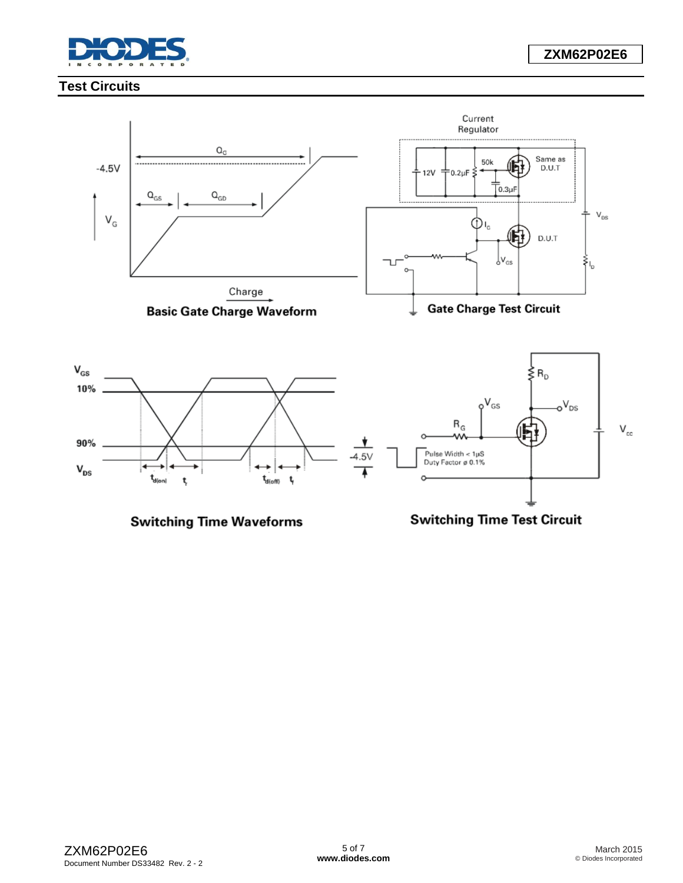

# **Test Circuits**

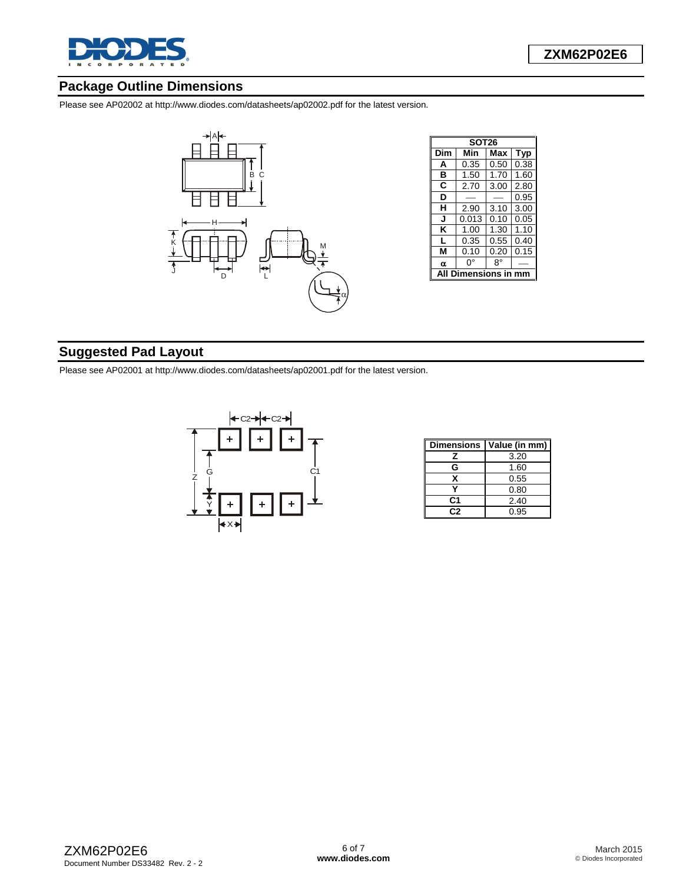

# **Package Outline Dimensions**

Please see AP02002 at [http://www.diodes.com/datasheets/ap02002.pdf fo](http://www.diodes.com/datasheets/ap02002.pdf)r the latest version.



| <b>SOT26</b> |       |           |            |  |  |  |  |
|--------------|-------|-----------|------------|--|--|--|--|
| Dim          | Min   | Max       | <b>Typ</b> |  |  |  |  |
| A            | 0.35  | 0.50      | 0.38       |  |  |  |  |
| в            | 1.50  | 1.70      | 1.60       |  |  |  |  |
| C            | 2.70  | 3.00      | 2.80       |  |  |  |  |
| D            |       |           | 0.95       |  |  |  |  |
| н            | 2.90  | 3.10      | 3.00       |  |  |  |  |
| J            | 0.013 | 0.10      | 0.05       |  |  |  |  |
| κ            | 1.00  | 1.30      | 1.10       |  |  |  |  |
| L            | 0.35  | 0.55      | 0.40       |  |  |  |  |
| М            | 0.10  | 0.20      | 0.15       |  |  |  |  |
| α            | 0°    | R۰        |            |  |  |  |  |
|              |       | ensions i |            |  |  |  |  |

# **Suggested Pad Layout**

Please see AP02001 at [http://www.diodes.com/datasheets/ap02001.pdf fo](http://www.diodes.com/datasheets/ap02001.pdf)r the latest version.



| <b>Dimensions</b> | Value (in mm) |
|-------------------|---------------|
| z                 | 3.20          |
| G                 | 1.60          |
| x                 | 0.55          |
|                   | 0.80          |
| C1                | 2.40          |
| פר                | 0.95          |